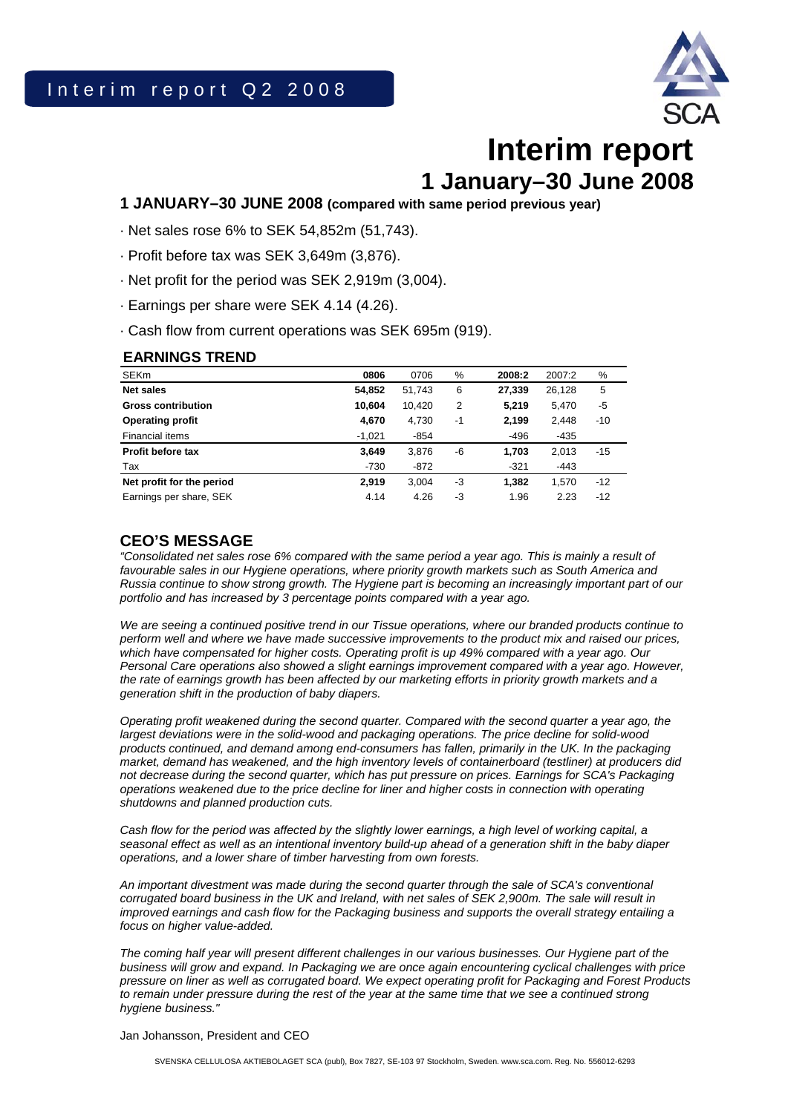

# **Interim report 1 January–30 June 2008**

### **1 JANUARY–30 JUNE 2008 (compared with same period previous year)**

- · Net sales rose 6% to SEK 54,852m (51,743).
- · Profit before tax was SEK 3,649m (3,876).
- · Net profit for the period was SEK 2,919m (3,004).
- · Earnings per share were SEK 4.14 (4.26).
- · Cash flow from current operations was SEK 695m (919).

### **EARNINGS TREND**

| <b>SEKm</b>               | 0806     | 0706   | %              | 2008:2 | 2007:2 | %     |
|---------------------------|----------|--------|----------------|--------|--------|-------|
| <b>Net sales</b>          | 54.852   | 51,743 | 6              | 27.339 | 26.128 | 5     |
| <b>Gross contribution</b> | 10.604   | 10,420 | $\overline{2}$ | 5,219  | 5,470  | -5    |
| <b>Operating profit</b>   | 4,670    | 4,730  | $-1$           | 2,199  | 2,448  | $-10$ |
| Financial items           | $-1,021$ | -854   |                | -496   | $-435$ |       |
| <b>Profit before tax</b>  | 3.649    | 3.876  | -6             | 1.703  | 2,013  | $-15$ |
| Tax                       | $-730$   | $-872$ |                | $-321$ | $-443$ |       |
| Net profit for the period | 2,919    | 3.004  | -3             | 1.382  | 1.570  | $-12$ |
| Earnings per share, SEK   | 4.14     | 4.26   | -3             | 1.96   | 2.23   | $-12$ |

### **CEO'S MESSAGE**

*"Consolidated net sales rose 6% compared with the same period a year ago. This is mainly a result of*  favourable sales in our Hygiene operations, where priority growth markets such as South America and *Russia continue to show strong growth. The Hygiene part is becoming an increasingly important part of our portfolio and has increased by 3 percentage points compared with a year ago.* 

*We are seeing a continued positive trend in our Tissue operations, where our branded products continue to perform well and where we have made successive improvements to the product mix and raised our prices, which have compensated for higher costs. Operating profit is up 49% compared with a year ago. Our Personal Care operations also showed a slight earnings improvement compared with a year ago. However, the rate of earnings growth has been affected by our marketing efforts in priority growth markets and a generation shift in the production of baby diapers.* 

*Operating profit weakened during the second quarter. Compared with the second quarter a year ago, the largest deviations were in the solid-wood and packaging operations. The price decline for solid-wood products continued, and demand among end-consumers has fallen, primarily in the UK. In the packaging market, demand has weakened, and the high inventory levels of containerboard (testliner) at producers did not decrease during the second quarter, which has put pressure on prices. Earnings for SCA's Packaging operations weakened due to the price decline for liner and higher costs in connection with operating shutdowns and planned production cuts.* 

*Cash flow for the period was affected by the slightly lower earnings, a high level of working capital, a seasonal effect as well as an intentional inventory build-up ahead of a generation shift in the baby diaper operations, and a lower share of timber harvesting from own forests.* 

*An important divestment was made during the second quarter through the sale of SCA's conventional corrugated board business in the UK and Ireland, with net sales of SEK 2,900m. The sale will result in improved earnings and cash flow for the Packaging business and supports the overall strategy entailing a focus on higher value-added.* 

*The coming half year will present different challenges in our various businesses. Our Hygiene part of the business will grow and expand. In Packaging we are once again encountering cyclical challenges with price pressure on liner as well as corrugated board. We expect operating profit for Packaging and Forest Products to remain under pressure during the rest of the year at the same time that we see a continued strong hygiene business."* 

Jan Johansson, President and CEO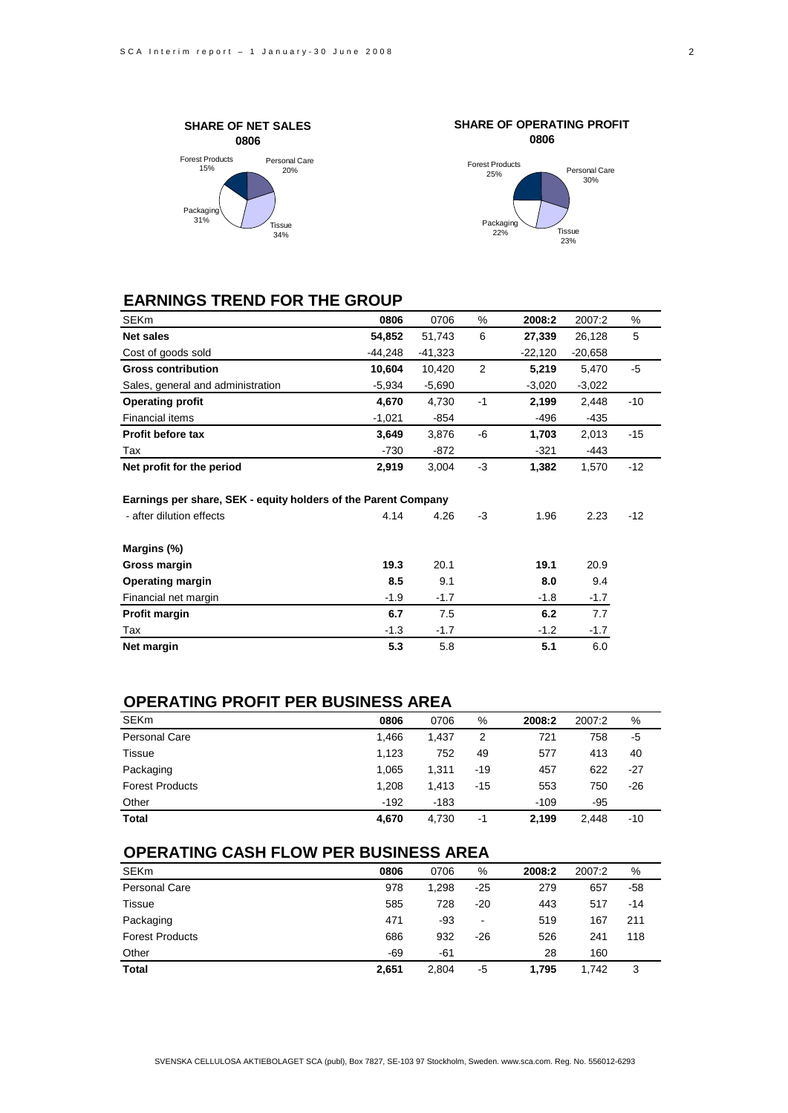



### **EARNINGS TREND FOR THE GROUP**

| <b>SEKm</b>                                                                                | 0806      | 0706      | %    | 2008:2    | 2007:2    | %     |
|--------------------------------------------------------------------------------------------|-----------|-----------|------|-----------|-----------|-------|
| Net sales                                                                                  | 54,852    | 51,743    | 6    | 27,339    | 26,128    | 5     |
| Cost of goods sold                                                                         | $-44,248$ | $-41,323$ |      | $-22,120$ | $-20,658$ |       |
| <b>Gross contribution</b>                                                                  | 10,604    | 10,420    | 2    | 5,219     | 5,470     | $-5$  |
| Sales, general and administration                                                          | $-5,934$  | $-5,690$  |      | $-3,020$  | $-3,022$  |       |
| <b>Operating profit</b>                                                                    | 4,670     | 4,730     | $-1$ | 2,199     | 2,448     | -10   |
| <b>Financial items</b>                                                                     | $-1,021$  | -854      |      | -496      | -435      |       |
| <b>Profit before tax</b>                                                                   | 3,649     | 3,876     | -6   | 1,703     | 2,013     | $-15$ |
| Tax                                                                                        | $-730$    | -872      |      | $-321$    | -443      |       |
| Net profit for the period                                                                  | 2,919     | 3,004     | $-3$ | 1,382     | 1,570     | $-12$ |
| Earnings per share, SEK - equity holders of the Parent Company<br>- after dilution effects | 4.14      | 4.26      | -3   | 1.96      | 2.23      | $-12$ |
| Margins (%)                                                                                |           |           |      |           |           |       |
| Gross margin                                                                               | 19.3      | 20.1      |      | 19.1      | 20.9      |       |
| <b>Operating margin</b>                                                                    | 8.5       | 9.1       |      | 8.0       | 9.4       |       |
| Financial net margin                                                                       | $-1.9$    | $-1.7$    |      | $-1.8$    | $-1.7$    |       |
| Profit margin                                                                              | 6.7       | 7.5       |      | 6.2       | 7.7       |       |
| Tax                                                                                        | $-1.3$    | $-1.7$    |      | $-1.2$    | $-1.7$    |       |
| Net margin                                                                                 | 5.3       | 5.8       |      | 5.1       | 6.0       |       |
|                                                                                            |           |           |      |           |           |       |

### **OPERATING PROFIT PER BUSINESS AREA**

| <b>SEKm</b>            | 0806   | 0706  | %     | 2008:2 | 2007:2 | %   |
|------------------------|--------|-------|-------|--------|--------|-----|
| Personal Care          | 1.466  | 1.437 | 2     | 721    | 758    | -5  |
| <b>Tissue</b>          | 1.123  | 752   | 49    | 577    | 413    | 40  |
| Packaging              | 1,065  | 1.311 | $-19$ | 457    | 622    | -27 |
| <b>Forest Products</b> | 1.208  | 1.413 | $-15$ | 553    | 750    | -26 |
| Other                  | $-192$ | -183  |       | $-109$ | -95    |     |
| <b>Total</b>           | 4.670  | 4.730 | -1    | 2.199  | 2.448  | -10 |

### **OPERATING CASH FLOW PER BUSINESS AREA**

| <b>SEKm</b>            | 0806  | 0706  | %                            | 2008:2 | 2007:2 | %     |
|------------------------|-------|-------|------------------------------|--------|--------|-------|
| <b>Personal Care</b>   | 978   | 1.298 | $-25$                        | 279    | 657    | $-58$ |
| <b>Tissue</b>          | 585   | 728   | $-20$                        | 443    | 517    | $-14$ |
| Packaging              | 471   | -93   | $\qquad \qquad \blacksquare$ | 519    | 167    | 211   |
| <b>Forest Products</b> | 686   | 932   | $-26$                        | 526    | 241    | 118   |
| Other                  | $-69$ | -61   |                              | 28     | 160    |       |
| <b>Total</b>           | 2,651 | 2,804 | -5                           | 1.795  | 1.742  | 3     |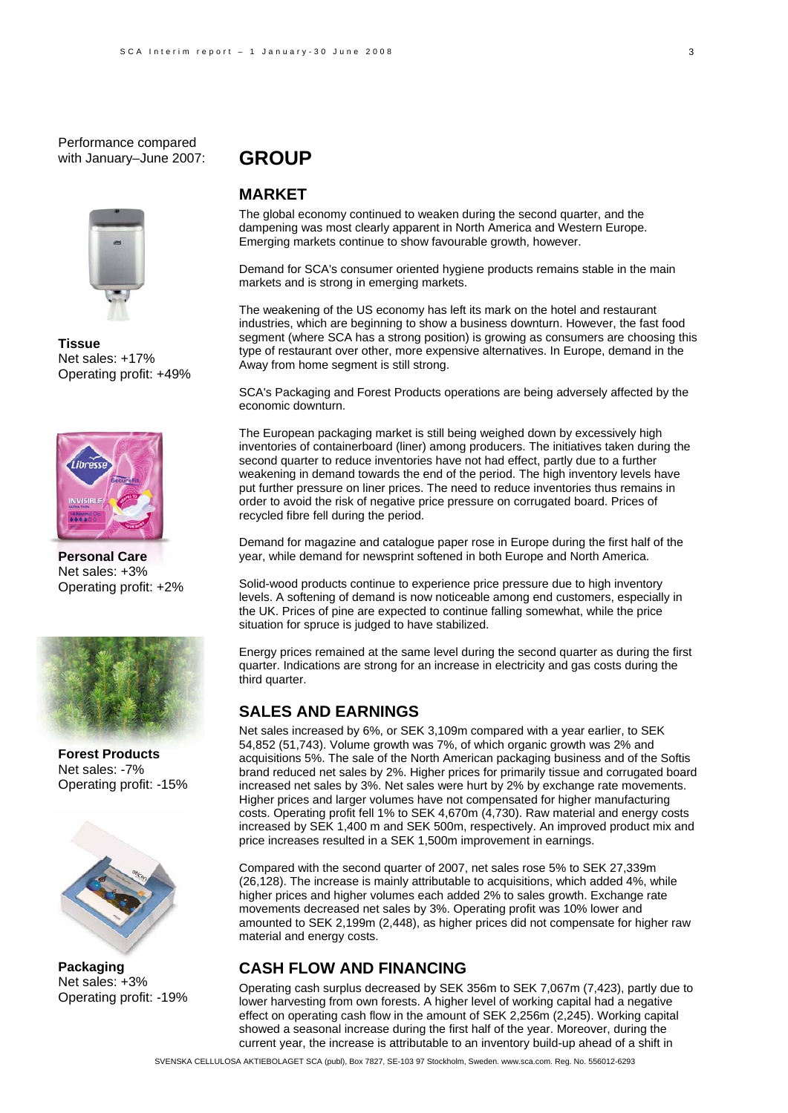Performance compared with January–June 2007:



**Tissue** Net sales: +17% Operating profit: +49%



**Personal Care**  Net sales: +3% Operating profit: +2%



**Forest Products**  Net sales: -7% Operating profit: -15%



**Packaging**  Net sales: +3% Operating profit: -19%

### **GROUP**

### **MARKET**

The global economy continued to weaken during the second quarter, and the dampening was most clearly apparent in North America and Western Europe. Emerging markets continue to show favourable growth, however.

Demand for SCA's consumer oriented hygiene products remains stable in the main markets and is strong in emerging markets.

The weakening of the US economy has left its mark on the hotel and restaurant industries, which are beginning to show a business downturn. However, the fast food segment (where SCA has a strong position) is growing as consumers are choosing this type of restaurant over other, more expensive alternatives. In Europe, demand in the Away from home segment is still strong.

SCA's Packaging and Forest Products operations are being adversely affected by the economic downturn.

The European packaging market is still being weighed down by excessively high inventories of containerboard (liner) among producers. The initiatives taken during the second quarter to reduce inventories have not had effect, partly due to a further weakening in demand towards the end of the period. The high inventory levels have put further pressure on liner prices. The need to reduce inventories thus remains in order to avoid the risk of negative price pressure on corrugated board. Prices of recycled fibre fell during the period.

Demand for magazine and catalogue paper rose in Europe during the first half of the year, while demand for newsprint softened in both Europe and North America.

Solid-wood products continue to experience price pressure due to high inventory levels. A softening of demand is now noticeable among end customers, especially in the UK. Prices of pine are expected to continue falling somewhat, while the price situation for spruce is judged to have stabilized.

Energy prices remained at the same level during the second quarter as during the first quarter. Indications are strong for an increase in electricity and gas costs during the third quarter.

### **SALES AND EARNINGS**

Net sales increased by 6%, or SEK 3,109m compared with a year earlier, to SEK 54,852 (51,743). Volume growth was 7%, of which organic growth was 2% and acquisitions 5%. The sale of the North American packaging business and of the Softis brand reduced net sales by 2%. Higher prices for primarily tissue and corrugated board increased net sales by 3%. Net sales were hurt by 2% by exchange rate movements. Higher prices and larger volumes have not compensated for higher manufacturing costs. Operating profit fell 1% to SEK 4,670m (4,730). Raw material and energy costs increased by SEK 1,400 m and SEK 500m, respectively. An improved product mix and price increases resulted in a SEK 1,500m improvement in earnings.

Compared with the second quarter of 2007, net sales rose 5% to SEK 27,339m (26,128). The increase is mainly attributable to acquisitions, which added 4%, while higher prices and higher volumes each added 2% to sales growth. Exchange rate movements decreased net sales by 3%. Operating profit was 10% lower and amounted to SEK 2,199m (2,448), as higher prices did not compensate for higher raw material and energy costs.

### **CASH FLOW AND FINANCING**

Operating cash surplus decreased by SEK 356m to SEK 7,067m (7,423), partly due to lower harvesting from own forests. A higher level of working capital had a negative effect on operating cash flow in the amount of SEK 2,256m (2,245). Working capital showed a seasonal increase during the first half of the year. Moreover, during the current year, the increase is attributable to an inventory build-up ahead of a shift in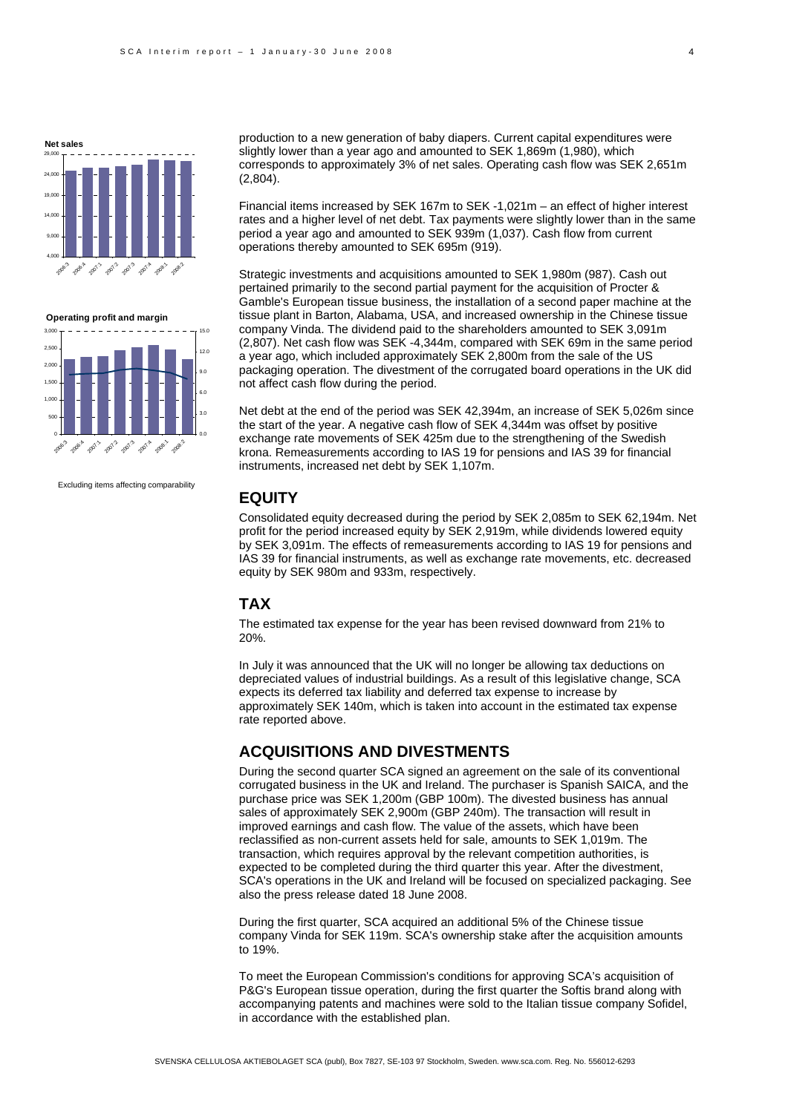





Excluding items affecting comparability

production to a new generation of baby diapers. Current capital expenditures were slightly lower than a year ago and amounted to SEK 1,869m (1,980), which corresponds to approximately 3% of net sales. Operating cash flow was SEK 2,651m (2,804).

Financial items increased by SEK 167m to SEK -1,021m – an effect of higher interest rates and a higher level of net debt. Tax payments were slightly lower than in the same period a year ago and amounted to SEK 939m (1,037). Cash flow from current operations thereby amounted to SEK 695m (919).

Strategic investments and acquisitions amounted to SEK 1,980m (987). Cash out pertained primarily to the second partial payment for the acquisition of Procter & Gamble's European tissue business, the installation of a second paper machine at the tissue plant in Barton, Alabama, USA, and increased ownership in the Chinese tissue company Vinda. The dividend paid to the shareholders amounted to SEK 3,091m (2,807). Net cash flow was SEK -4,344m, compared with SEK 69m in the same period a year ago, which included approximately SEK 2,800m from the sale of the US packaging operation. The divestment of the corrugated board operations in the UK did not affect cash flow during the period.

Net debt at the end of the period was SEK 42,394m, an increase of SEK 5,026m since the start of the year. A negative cash flow of SEK 4,344m was offset by positive exchange rate movements of SEK 425m due to the strengthening of the Swedish krona. Remeasurements according to IAS 19 for pensions and IAS 39 for financial instruments, increased net debt by SEK 1,107m.

### **EQUITY**

Consolidated equity decreased during the period by SEK 2,085m to SEK 62,194m. Net profit for the period increased equity by SEK 2,919m, while dividends lowered equity by SEK 3,091m. The effects of remeasurements according to IAS 19 for pensions and IAS 39 for financial instruments, as well as exchange rate movements, etc. decreased equity by SEK 980m and 933m, respectively.

### **TAX**

The estimated tax expense for the year has been revised downward from 21% to 20%.

In July it was announced that the UK will no longer be allowing tax deductions on depreciated values of industrial buildings. As a result of this legislative change, SCA expects its deferred tax liability and deferred tax expense to increase by approximately SEK 140m, which is taken into account in the estimated tax expense rate reported above.

### **ACQUISITIONS AND DIVESTMENTS**

During the second quarter SCA signed an agreement on the sale of its conventional corrugated business in the UK and Ireland. The purchaser is Spanish SAICA, and the purchase price was SEK 1,200m (GBP 100m). The divested business has annual sales of approximately SEK 2,900m (GBP 240m). The transaction will result in improved earnings and cash flow. The value of the assets, which have been reclassified as non-current assets held for sale, amounts to SEK 1,019m. The transaction, which requires approval by the relevant competition authorities, is expected to be completed during the third quarter this year. After the divestment, SCA's operations in the UK and Ireland will be focused on specialized packaging. See also the press release dated 18 June 2008.

During the first quarter, SCA acquired an additional 5% of the Chinese tissue company Vinda for SEK 119m. SCA's ownership stake after the acquisition amounts to 19%.

To meet the European Commission's conditions for approving SCA's acquisition of P&G's European tissue operation, during the first quarter the Softis brand along with accompanying patents and machines were sold to the Italian tissue company Sofidel, in accordance with the established plan.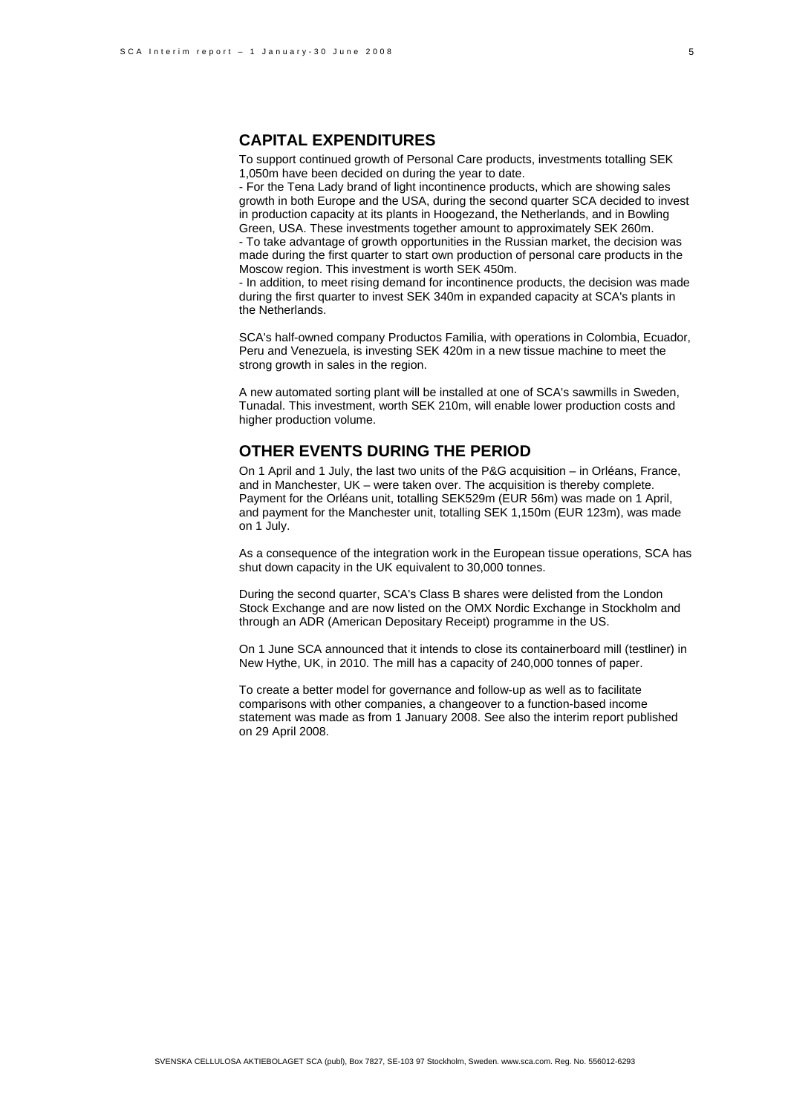### **CAPITAL EXPENDITURES**

To support continued growth of Personal Care products, investments totalling SEK 1,050m have been decided on during the year to date.

- For the Tena Lady brand of light incontinence products, which are showing sales growth in both Europe and the USA, during the second quarter SCA decided to invest in production capacity at its plants in Hoogezand, the Netherlands, and in Bowling Green, USA. These investments together amount to approximately SEK 260m. - To take advantage of growth opportunities in the Russian market, the decision was made during the first quarter to start own production of personal care products in the

Moscow region. This investment is worth SEK 450m. - In addition, to meet rising demand for incontinence products, the decision was made

during the first quarter to invest SEK 340m in expanded capacity at SCA's plants in the Netherlands.

SCA's half-owned company Productos Familia, with operations in Colombia, Ecuador, Peru and Venezuela, is investing SEK 420m in a new tissue machine to meet the strong growth in sales in the region.

A new automated sorting plant will be installed at one of SCA's sawmills in Sweden, Tunadal. This investment, worth SEK 210m, will enable lower production costs and higher production volume.

### **OTHER EVENTS DURING THE PERIOD**

On 1 April and 1 July, the last two units of the P&G acquisition – in Orléans, France, and in Manchester, UK – were taken over. The acquisition is thereby complete. Payment for the Orléans unit, totalling SEK529m (EUR 56m) was made on 1 April, and payment for the Manchester unit, totalling SEK 1,150m (EUR 123m), was made on 1 July.

As a consequence of the integration work in the European tissue operations, SCA has shut down capacity in the UK equivalent to 30,000 tonnes.

During the second quarter, SCA's Class B shares were delisted from the London Stock Exchange and are now listed on the OMX Nordic Exchange in Stockholm and through an ADR (American Depositary Receipt) programme in the US.

On 1 June SCA announced that it intends to close its containerboard mill (testliner) in New Hythe, UK, in 2010. The mill has a capacity of 240,000 tonnes of paper.

To create a better model for governance and follow-up as well as to facilitate comparisons with other companies, a changeover to a function-based income statement was made as from 1 January 2008. See also the interim report published on 29 April 2008.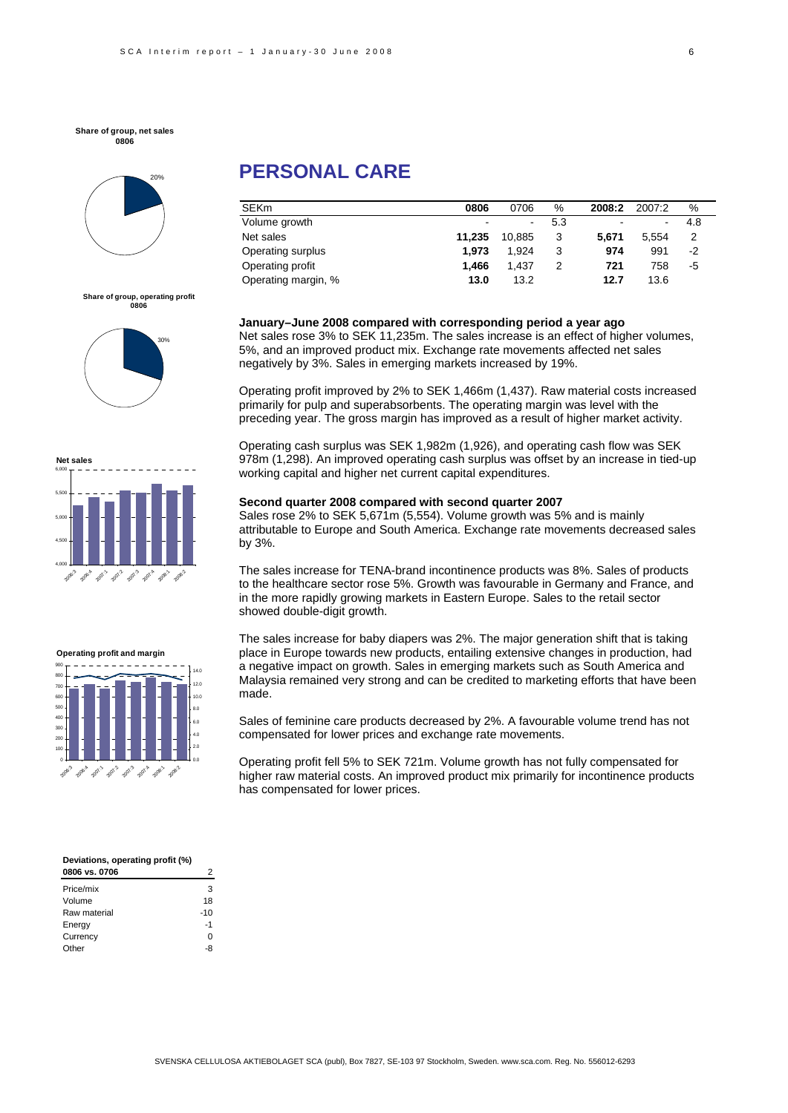**Share of group, net sales 0806**



## **PERSONAL CARE**

| <b>SEKm</b>         | 0806   | 0706   | $\%$ | 2008:2 | 2007:2 | %    |
|---------------------|--------|--------|------|--------|--------|------|
| Volume growth       | -      |        | 5.3  | -      | -      | 4.8  |
| Net sales           | 11.235 | 10.885 | 3    | 5.671  | 5.554  |      |
| Operating surplus   | 1.973  | 1.924  | 3    | 974    | 991    | $-2$ |
| Operating profit    | 1.466  | 1.437  | 2    | 721    | 758    | -5   |
| Operating margin, % | 13.0   | 13.2   |      | 12.7   | 13.6   |      |

**Share of group, operating profit 0806**







| <b>Net sales</b> |                                |  |  |    |
|------------------|--------------------------------|--|--|----|
| 6,000            |                                |  |  |    |
| 5,500            |                                |  |  |    |
| 5,000            |                                |  |  |    |
| 4,500            |                                |  |  |    |
| 4,000<br>2006.3  | 2084 20011 2012 2013 2014 2081 |  |  | d. |
|                  |                                |  |  |    |

| 0806   | 0706   | %   | 2008:2                   | 2007:2                   | %   |
|--------|--------|-----|--------------------------|--------------------------|-----|
| -      | ٠      | 5.3 | $\overline{\phantom{a}}$ | $\overline{\phantom{a}}$ | 4.8 |
| 11.235 | 10.885 | 3   | 5.671                    | 5.554                    |     |
| 1.973  | 1.924  | 3   | 974                      | 991                      | -2  |
| 1.466  | 1.437  | 2   | 721                      | 758                      | -5  |
| 13.0   | 13.2   |     | 12.7                     | 13.6                     |     |
|        |        |     |                          |                          |     |

**January–June 2008 compared with corresponding period a year ago** 

Net sales rose 3% to SEK 11,235m. The sales increase is an effect of higher volumes, 5%, and an improved product mix. Exchange rate movements affected net sales negatively by 3%. Sales in emerging markets increased by 19%.

Operating profit improved by 2% to SEK 1,466m (1,437). Raw material costs increased primarily for pulp and superabsorbents. The operating margin was level with the preceding year. The gross margin has improved as a result of higher market activity.

Operating cash surplus was SEK 1,982m (1,926), and operating cash flow was SEK 978m (1,298). An improved operating cash surplus was offset by an increase in tied-up working capital and higher net current capital expenditures.

#### **Second quarter 2008 compared with second quarter 2007**

Sales rose 2% to SEK 5,671m (5,554). Volume growth was 5% and is mainly attributable to Europe and South America. Exchange rate movements decreased sales by 3%.

The sales increase for TENA-brand incontinence products was 8%. Sales of products to the healthcare sector rose 5%. Growth was favourable in Germany and France, and in the more rapidly growing markets in Eastern Europe. Sales to the retail sector showed double-digit growth.

The sales increase for baby diapers was 2%. The major generation shift that is taking place in Europe towards new products, entailing extensive changes in production, had a negative impact on growth. Sales in emerging markets such as South America and Malaysia remained very strong and can be credited to marketing efforts that have been made.

Sales of feminine care products decreased by 2%. A favourable volume trend has not compensated for lower prices and exchange rate movements.

Operating profit fell 5% to SEK 721m. Volume growth has not fully compensated for higher raw material costs. An improved product mix primarily for incontinence products has compensated for lower prices.

| Deviations, operating profit (%) |     |  |  |
|----------------------------------|-----|--|--|
| 0806 vs. 0706                    | 2   |  |  |
| Price/mix                        | з   |  |  |
| Volume                           | 18  |  |  |
| Raw material                     | -10 |  |  |
| Energy                           | -1  |  |  |
| Currency                         |     |  |  |

Other -8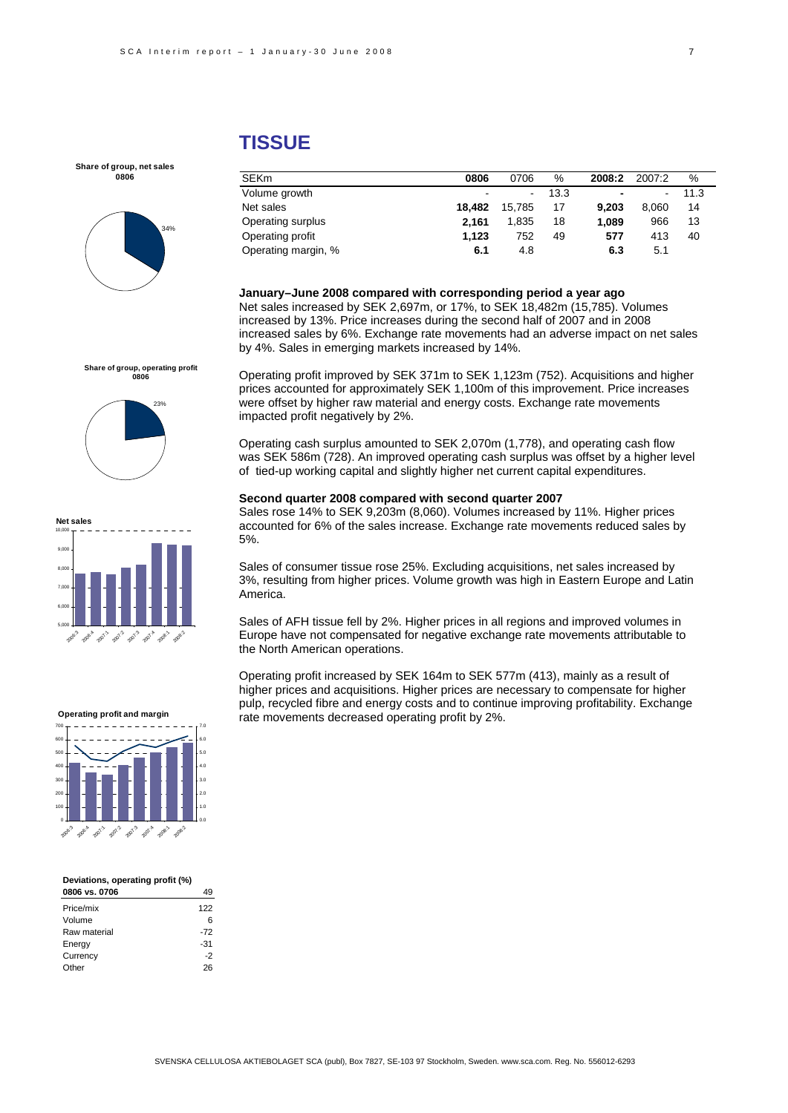### **TISSUE**

**Share of group, net sales 0806**



**Share of group, operating profit 0806**

**Net sales**

5,000 6,000 7,000 8,000 9,000 10,000

> 2006.3 2006.4

23%

#### SEKm **0806** 0706 % **2008:2** 2007:2 % Volume growth - - 13.3 **-** - 11.3 Net sales **18,482** 15,785 17 **9,203** 8,060 14 Operating surplus **2,161** 1,835 18 **1,089** 966 13 Operating profit **1,123** 752 49 **577** 413 40 Operating margin, % **6.1** 4.8 **6.3** 5.1

#### **January–June 2008 compared with corresponding period a year ago**  Net sales increased by SEK 2,697m, or 17%, to SEK 18,482m (15,785). Volumes increased by 13%. Price increases during the second half of 2007 and in 2008 increased sales by 6%. Exchange rate movements had an adverse impact on net sales by 4%. Sales in emerging markets increased by 14%.

Operating profit improved by SEK 371m to SEK 1,123m (752). Acquisitions and higher prices accounted for approximately SEK 1,100m of this improvement. Price increases were offset by higher raw material and energy costs. Exchange rate movements impacted profit negatively by 2%.

Operating cash surplus amounted to SEK 2,070m (1,778), and operating cash flow was SEK 586m (728). An improved operating cash surplus was offset by a higher level of tied-up working capital and slightly higher net current capital expenditures.

#### **Second quarter 2008 compared with second quarter 2007**

Sales rose 14% to SEK 9,203m (8,060). Volumes increased by 11%. Higher prices accounted for 6% of the sales increase. Exchange rate movements reduced sales by 5%.

Sales of consumer tissue rose 25%. Excluding acquisitions, net sales increased by 3%, resulting from higher prices. Volume growth was high in Eastern Europe and Latin America.

Sales of AFH tissue fell by 2%. Higher prices in all regions and improved volumes in Europe have not compensated for negative exchange rate movements attributable to the North American operations.

Operating profit increased by SEK 164m to SEK 577m (413), mainly as a result of higher prices and acquisitions. Higher prices are necessary to compensate for higher pulp, recycled fibre and energy costs and to continue improving profitability. Exchange rate movements decreased operating profit by 2%.



#### **Deviations, operating profit (%)**  ر<br>2011 **- 1086** 1999

| <u>UUUU VS. UIUU</u> | - 7   |
|----------------------|-------|
| Price/mix            | 122   |
| Volume               | 6     |
| Raw material         | $-72$ |
| Energy               | $-31$ |
| Currency             | $-2$  |
| Other                | 26    |
|                      |       |

#### 207.5 2012 207.3 207 2008:1 2009.2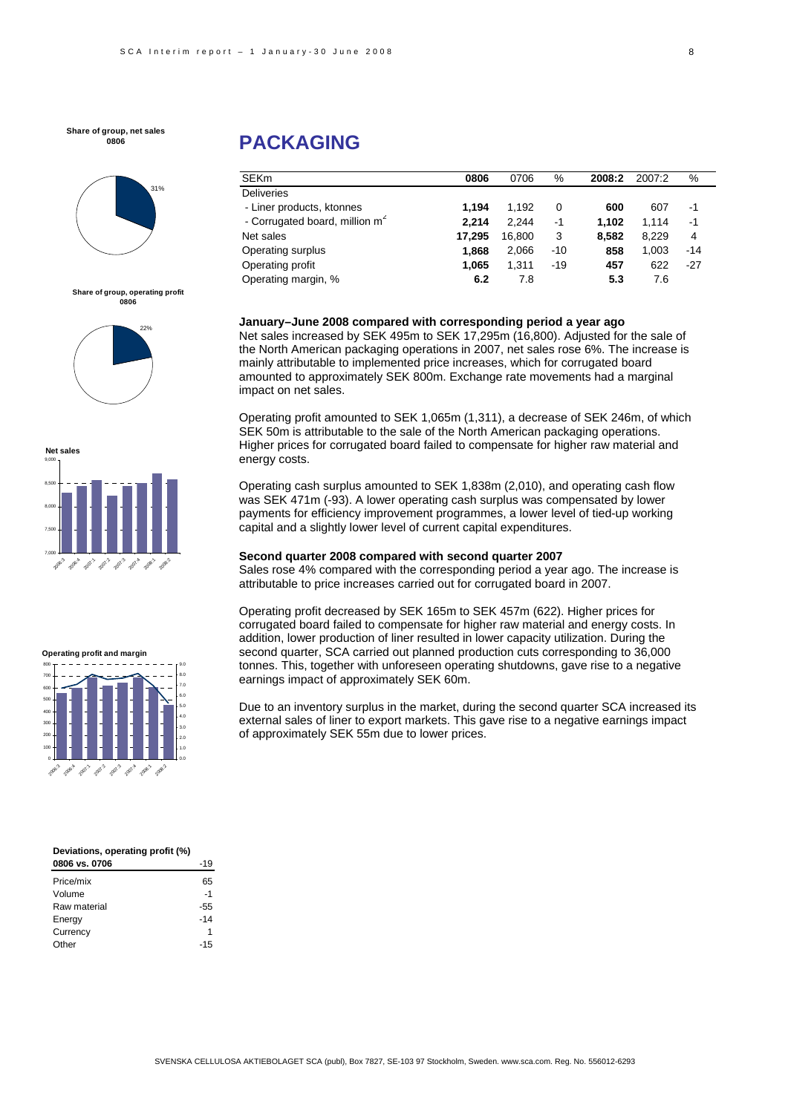#### **Share of group, net sales 0806**



**Share of group, operating profit 0806**









| Deviations, operating profit (%) |     |  |  |
|----------------------------------|-----|--|--|
| 0806 vs. 0706                    | -19 |  |  |
| Price/mix                        | 65  |  |  |
| Volume                           | -1  |  |  |
| Raw material                     | 55  |  |  |

| Raw material | -55   |
|--------------|-------|
| Energy       | $-14$ |
| Currency     |       |
| Other        | $-15$ |
|              |       |

## **PACKAGING**

| <b>SEKm</b>                                | 0806   | 0706   | %     | 2008:2 | 2007:2 | %     |
|--------------------------------------------|--------|--------|-------|--------|--------|-------|
| <b>Deliveries</b>                          |        |        |       |        |        |       |
| - Liner products, ktonnes                  | 1.194  | 1.192  | 0     | 600    | 607    | -1    |
| - Corrugated board, million m <sup>2</sup> | 2.214  | 2.244  | $-1$  | 1.102  | 1.114  | -1    |
| Net sales                                  | 17.295 | 16,800 | 3     | 8.582  | 8.229  | 4     |
| Operating surplus                          | 1.868  | 2,066  | $-10$ | 858    | 1.003  | $-14$ |
| Operating profit                           | 1.065  | 1.311  | $-19$ | 457    | 622    | $-27$ |
| Operating margin, %                        | 6.2    | 7.8    |       | 5.3    | 7.6    |       |

#### **January–June 2008 compared with corresponding period a year ago**

Net sales increased by SEK 495m to SEK 17,295m (16,800). Adjusted for the sale of the North American packaging operations in 2007, net sales rose 6%. The increase is mainly attributable to implemented price increases, which for corrugated board amounted to approximately SEK 800m. Exchange rate movements had a marginal impact on net sales.

Operating profit amounted to SEK 1,065m (1,311), a decrease of SEK 246m, of which SEK 50m is attributable to the sale of the North American packaging operations. Higher prices for corrugated board failed to compensate for higher raw material and energy costs.

Operating cash surplus amounted to SEK 1,838m (2,010), and operating cash flow was SEK 471m (-93). A lower operating cash surplus was compensated by lower payments for efficiency improvement programmes, a lower level of tied-up working capital and a slightly lower level of current capital expenditures.

#### **Second quarter 2008 compared with second quarter 2007**

Sales rose 4% compared with the corresponding period a year ago. The increase is attributable to price increases carried out for corrugated board in 2007.

Operating profit decreased by SEK 165m to SEK 457m (622). Higher prices for corrugated board failed to compensate for higher raw material and energy costs. In addition, lower production of liner resulted in lower capacity utilization. During the second quarter, SCA carried out planned production cuts corresponding to 36,000 tonnes. This, together with unforeseen operating shutdowns, gave rise to a negative earnings impact of approximately SEK 60m.

Due to an inventory surplus in the market, during the second quarter SCA increased its external sales of liner to export markets. This gave rise to a negative earnings impact of approximately SEK 55m due to lower prices.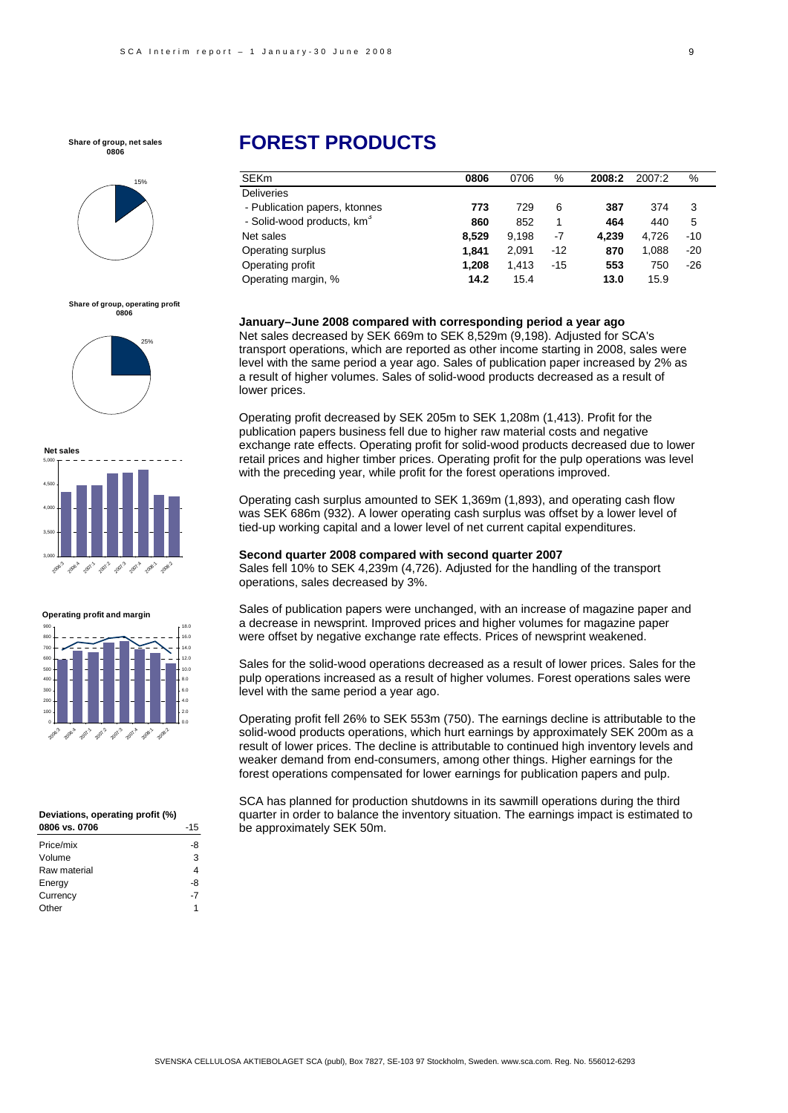**Share of group, net sales 0806**



**Share of group, operating profit 0806**





**Operating profit and margin**



#### **Deviations, operating profit (%) 0806 vs. 0706** -15

| Price/mix    | -8 |
|--------------|----|
| Volume       | 3  |
| Raw material | 4  |
| Energy       | -8 |
| Currency     | -7 |
| Other        | 1  |
|              |    |

## **FOREST PRODUCTS**

| <b>SEKm</b>                            | 0806  | 0706  | %     | 2008:2 | 2007:2 | %     |
|----------------------------------------|-------|-------|-------|--------|--------|-------|
| <b>Deliveries</b>                      |       |       |       |        |        |       |
| - Publication papers, ktonnes          | 773   | 729   | 6     | 387    | 374    | 3     |
| - Solid-wood products, km <sup>3</sup> | 860   | 852   |       | 464    | 440    | 5     |
| Net sales                              | 8.529 | 9.198 | -7    | 4.239  | 4.726  | $-10$ |
| Operating surplus                      | 1.841 | 2,091 | $-12$ | 870    | 1.088  | $-20$ |
| Operating profit                       | 1.208 | 1.413 | $-15$ | 553    | 750    | $-26$ |
| Operating margin, %                    | 14.2  | 15.4  |       | 13.0   | 15.9   |       |

#### **January–June 2008 compared with corresponding period a year ago**

Net sales decreased by SEK 669m to SEK 8,529m (9,198). Adjusted for SCA's transport operations, which are reported as other income starting in 2008, sales were level with the same period a year ago. Sales of publication paper increased by 2% as a result of higher volumes. Sales of solid-wood products decreased as a result of lower prices.

Operating profit decreased by SEK 205m to SEK 1,208m (1,413). Profit for the publication papers business fell due to higher raw material costs and negative exchange rate effects. Operating profit for solid-wood products decreased due to lower retail prices and higher timber prices. Operating profit for the pulp operations was level with the preceding year, while profit for the forest operations improved.

Operating cash surplus amounted to SEK 1,369m (1,893), and operating cash flow was SEK 686m (932). A lower operating cash surplus was offset by a lower level of tied-up working capital and a lower level of net current capital expenditures.

#### **Second quarter 2008 compared with second quarter 2007**

Sales fell 10% to SEK 4,239m (4,726). Adjusted for the handling of the transport operations, sales decreased by 3%.

Sales of publication papers were unchanged, with an increase of magazine paper and a decrease in newsprint. Improved prices and higher volumes for magazine paper were offset by negative exchange rate effects. Prices of newsprint weakened.

Sales for the solid-wood operations decreased as a result of lower prices. Sales for the pulp operations increased as a result of higher volumes. Forest operations sales were level with the same period a year ago.

Operating profit fell 26% to SEK 553m (750). The earnings decline is attributable to the solid-wood products operations, which hurt earnings by approximately SEK 200m as a result of lower prices. The decline is attributable to continued high inventory levels and weaker demand from end-consumers, among other things. Higher earnings for the forest operations compensated for lower earnings for publication papers and pulp.

SCA has planned for production shutdowns in its sawmill operations during the third quarter in order to balance the inventory situation. The earnings impact is estimated to be approximately SEK 50m.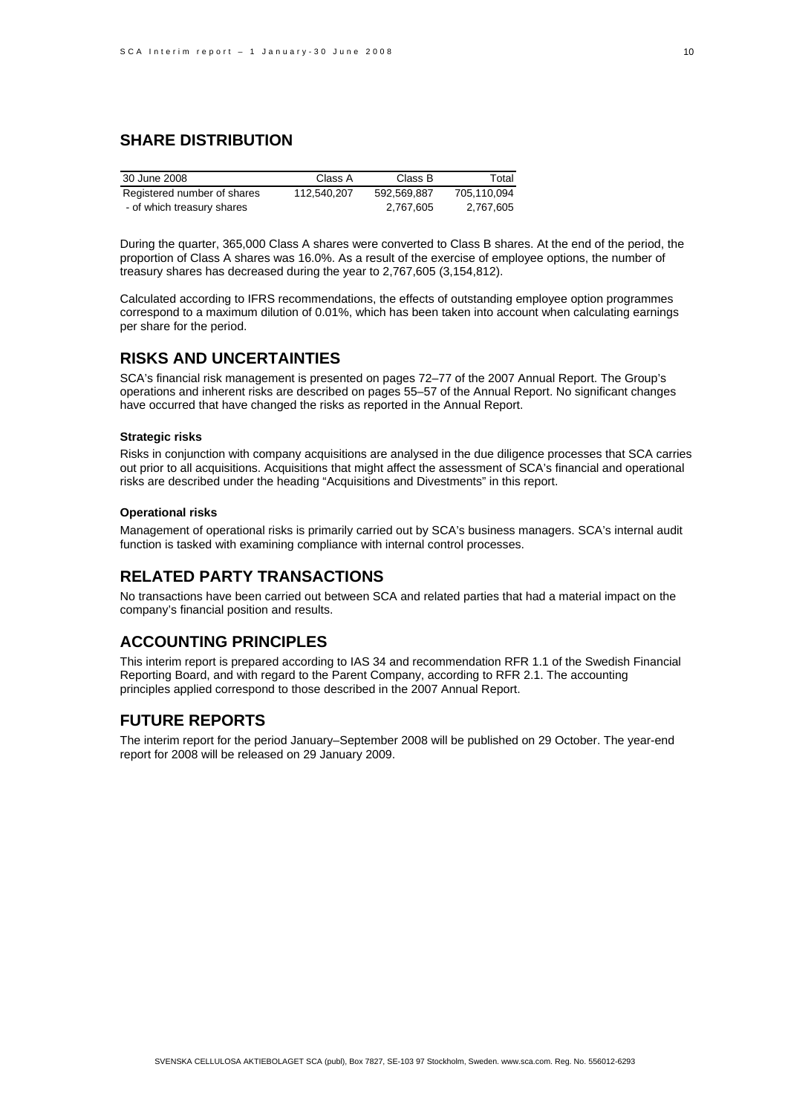### **SHARE DISTRIBUTION**

| 30 June 2008                | Class A     | Class B     | Total       |
|-----------------------------|-------------|-------------|-------------|
| Registered number of shares | 112.540.207 | 592.569.887 | 705.110.094 |
| - of which treasury shares  |             | 2,767,605   | 2.767.605   |

During the quarter, 365,000 Class A shares were converted to Class B shares. At the end of the period, the proportion of Class A shares was 16.0%. As a result of the exercise of employee options, the number of treasury shares has decreased during the year to 2,767,605 (3,154,812).

Calculated according to IFRS recommendations, the effects of outstanding employee option programmes correspond to a maximum dilution of 0.01%, which has been taken into account when calculating earnings per share for the period.

### **RISKS AND UNCERTAINTIES**

SCA's financial risk management is presented on pages 72–77 of the 2007 Annual Report. The Group's operations and inherent risks are described on pages 55–57 of the Annual Report. No significant changes have occurred that have changed the risks as reported in the Annual Report.

#### **Strategic risks**

Risks in conjunction with company acquisitions are analysed in the due diligence processes that SCA carries out prior to all acquisitions. Acquisitions that might affect the assessment of SCA's financial and operational risks are described under the heading "Acquisitions and Divestments" in this report.

#### **Operational risks**

Management of operational risks is primarily carried out by SCA's business managers. SCA's internal audit function is tasked with examining compliance with internal control processes.

### **RELATED PARTY TRANSACTIONS**

No transactions have been carried out between SCA and related parties that had a material impact on the company's financial position and results.

### **ACCOUNTING PRINCIPLES**

This interim report is prepared according to IAS 34 and recommendation RFR 1.1 of the Swedish Financial Reporting Board, and with regard to the Parent Company, according to RFR 2.1. The accounting principles applied correspond to those described in the 2007 Annual Report.

### **FUTURE REPORTS**

The interim report for the period January–September 2008 will be published on 29 October. The year-end report for 2008 will be released on 29 January 2009.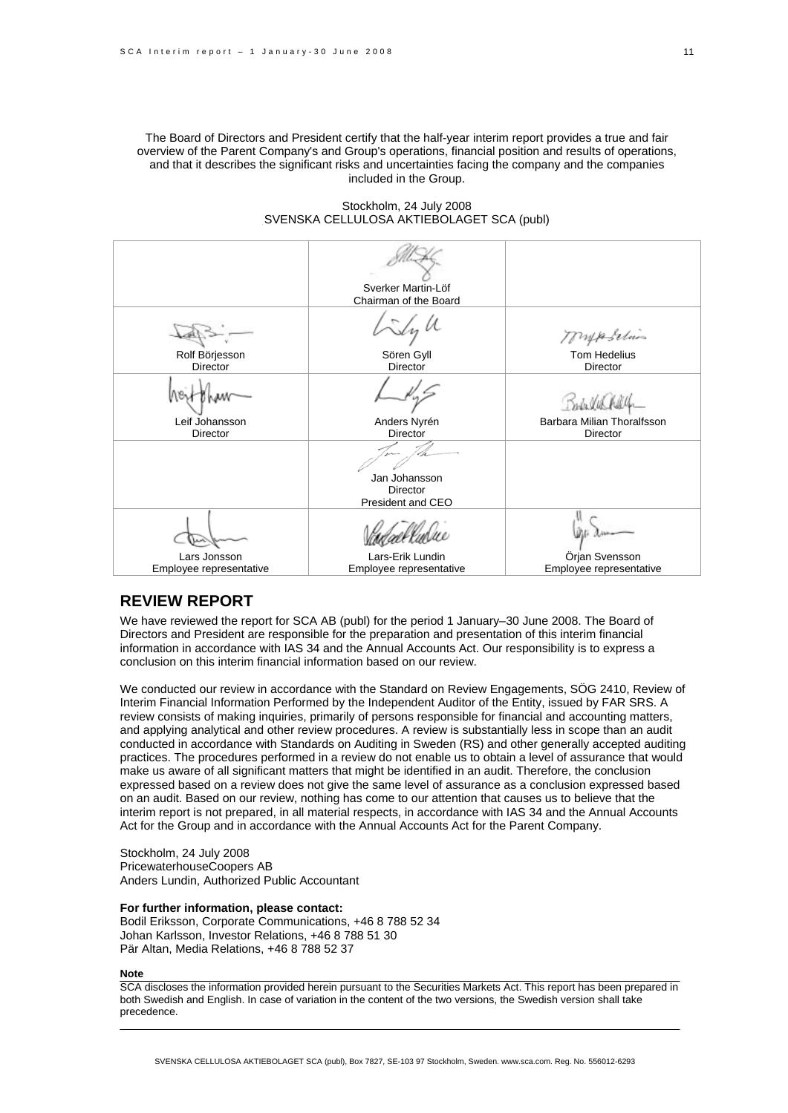The Board of Directors and President certify that the half-year interim report provides a true and fair overview of the Parent Company's and Group's operations, financial position and results of operations, and that it describes the significant risks and uncertainties facing the company and the companies included in the Group.

#### Stockholm, 24 July 2008 SVENSKA CELLULOSA AKTIEBOLAGET SCA (publ)

|                                         | Sverker Martin-Löf<br>Chairman of the Board           |                                              |
|-----------------------------------------|-------------------------------------------------------|----------------------------------------------|
| Rolf Börjesson<br><b>Director</b>       | Sören Gyll<br>Director                                | mposition<br><b>Tom Hedelius</b><br>Director |
| Leif Johansson                          | Anders Nyrén                                          | Barbara Milian Thoralfsson                   |
| <b>Director</b>                         | <b>Director</b>                                       | <b>Director</b>                              |
|                                         | Jan Johansson<br><b>Director</b><br>President and CEO |                                              |
|                                         |                                                       |                                              |
| Lars Jonsson<br>Employee representative | Lars-Erik Lundin<br>Employee representative           | Örjan Svensson<br>Employee representative    |

### **REVIEW REPORT**

We have reviewed the report for SCA AB (publ) for the period 1 January–30 June 2008. The Board of Directors and President are responsible for the preparation and presentation of this interim financial information in accordance with IAS 34 and the Annual Accounts Act. Our responsibility is to express a conclusion on this interim financial information based on our review.

We conducted our review in accordance with the Standard on Review Engagements, SÖG 2410, Review of Interim Financial Information Performed by the Independent Auditor of the Entity, issued by FAR SRS. A review consists of making inquiries, primarily of persons responsible for financial and accounting matters, and applying analytical and other review procedures. A review is substantially less in scope than an audit conducted in accordance with Standards on Auditing in Sweden (RS) and other generally accepted auditing practices. The procedures performed in a review do not enable us to obtain a level of assurance that would make us aware of all significant matters that might be identified in an audit. Therefore, the conclusion expressed based on a review does not give the same level of assurance as a conclusion expressed based on an audit. Based on our review, nothing has come to our attention that causes us to believe that the interim report is not prepared, in all material respects, in accordance with IAS 34 and the Annual Accounts Act for the Group and in accordance with the Annual Accounts Act for the Parent Company.

Stockholm, 24 July 2008 PricewaterhouseCoopers AB Anders Lundin, Authorized Public Accountant

#### **For further information, please contact:**

Bodil Eriksson, Corporate Communications, +46 8 788 52 34 Johan Karlsson, Investor Relations, +46 8 788 51 30 Pär Altan, Media Relations, +46 8 788 52 37

**Note** 

SCA discloses the information provided herein pursuant to the Securities Markets Act. This report has been prepared in both Swedish and English. In case of variation in the content of the two versions, the Swedish version shall take precedence.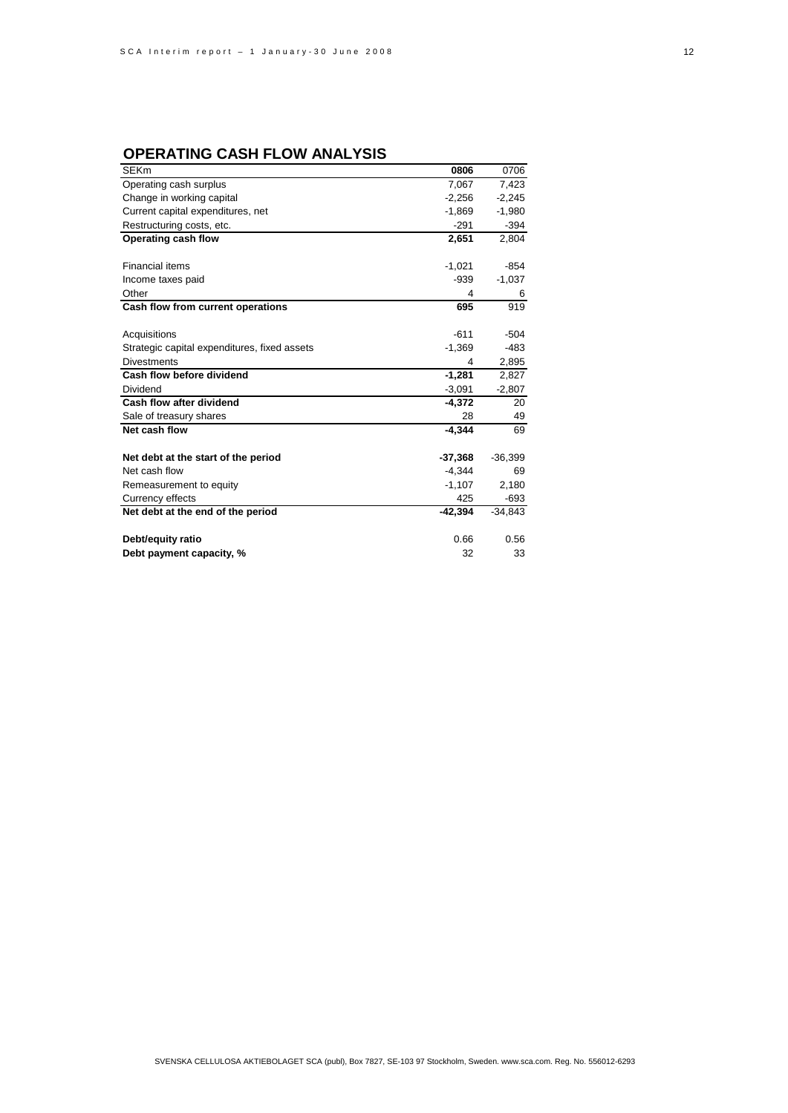### **OPERATING CASH FLOW ANALYSIS**

| <b>SEKm</b>                                  | 0806      | 0706      |
|----------------------------------------------|-----------|-----------|
| Operating cash surplus                       | 7,067     | 7,423     |
| Change in working capital                    | $-2,256$  | $-2,245$  |
| Current capital expenditures, net            | $-1,869$  | $-1,980$  |
| Restructuring costs, etc.                    | $-291$    | $-394$    |
| Operating cash flow                          | 2,651     | 2,804     |
|                                              |           |           |
| <b>Financial items</b>                       | $-1,021$  | $-854$    |
| Income taxes paid                            | $-939$    | $-1,037$  |
| Other                                        | 4         | 6         |
| Cash flow from current operations            | 695       | 919       |
|                                              |           |           |
| Acquisitions                                 | $-611$    | $-504$    |
| Strategic capital expenditures, fixed assets | $-1,369$  | -483      |
| <b>Divestments</b>                           | 4         | 2,895     |
| Cash flow before dividend                    | $-1,281$  | 2,827     |
| Dividend                                     | $-3,091$  | $-2,807$  |
| Cash flow after dividend                     | $-4,372$  | 20        |
| Sale of treasury shares                      | 28        | 49        |
| Net cash flow                                | $-4,344$  | 69        |
| Net debt at the start of the period          | $-37,368$ | $-36,399$ |
| Net cash flow                                | $-4,344$  | 69        |
| Remeasurement to equity                      | $-1,107$  | 2,180     |
| Currency effects                             | 425       | $-693$    |
| Net debt at the end of the period            | $-42.394$ | $-34,843$ |
| Debt/equity ratio                            | 0.66      | 0.56      |
| Debt payment capacity, %                     | 32        | 33        |
|                                              |           |           |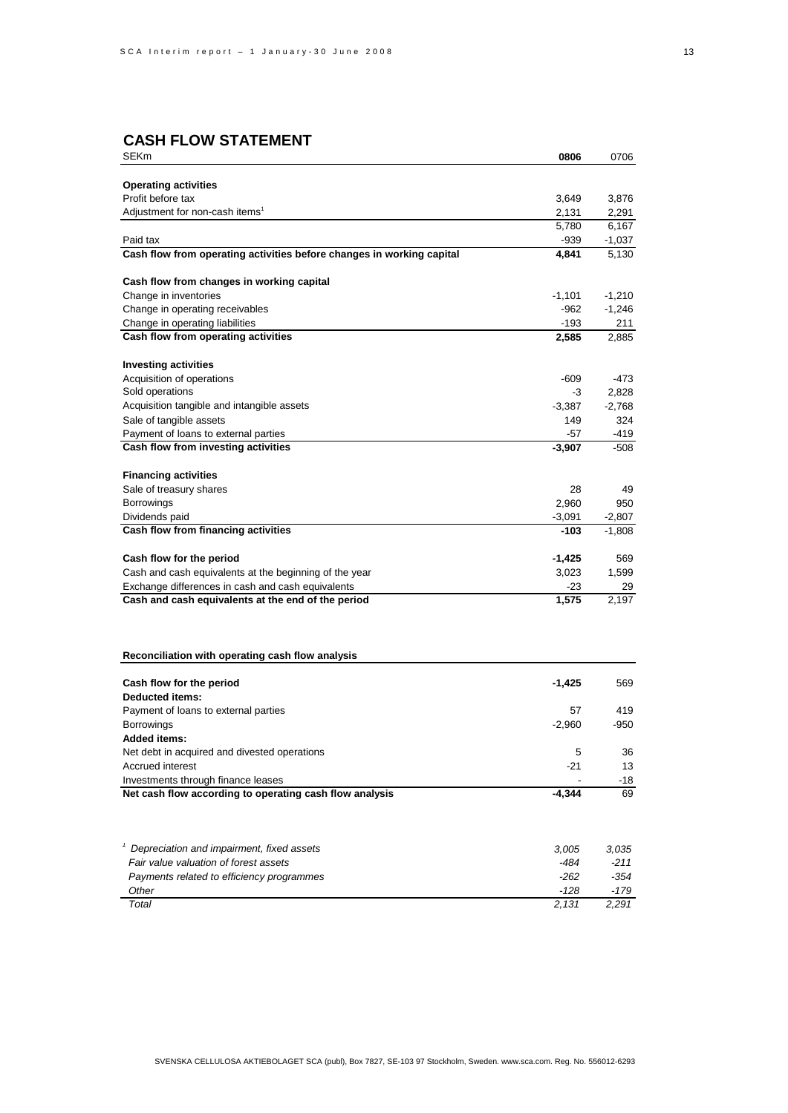### **CASH FLOW STATEMENT**

| <b>SEKm</b>                                                                       | 0806          | 0706              |
|-----------------------------------------------------------------------------------|---------------|-------------------|
|                                                                                   |               |                   |
| <b>Operating activities</b>                                                       |               |                   |
| Profit before tax                                                                 | 3,649         | 3,876             |
| Adjustment for non-cash items <sup>1</sup>                                        | 2,131         | 2,291             |
|                                                                                   | 5,780         | 6,167             |
| Paid tax<br>Cash flow from operating activities before changes in working capital | -939<br>4,841 | $-1,037$<br>5,130 |
|                                                                                   |               |                   |
| Cash flow from changes in working capital                                         |               |                   |
| Change in inventories                                                             | $-1,101$      | $-1,210$          |
| Change in operating receivables                                                   | $-962$        | $-1,246$          |
| Change in operating liabilities                                                   | $-193$        | 211               |
| Cash flow from operating activities                                               | 2,585         | 2,885             |
| <b>Investing activities</b>                                                       |               |                   |
| Acquisition of operations                                                         | $-609$        | -473              |
| Sold operations                                                                   | -3            | 2,828             |
| Acquisition tangible and intangible assets                                        | $-3,387$      | $-2,768$          |
| Sale of tangible assets                                                           | 149           | 324               |
| Payment of loans to external parties                                              | $-57$         | -419              |
| Cash flow from investing activities                                               | $-3,907$      | -508              |
|                                                                                   |               |                   |
| <b>Financing activities</b>                                                       |               |                   |
| Sale of treasury shares                                                           | 28            | 49                |
| Borrowings                                                                        | 2,960         | 950               |
| Dividends paid                                                                    | $-3,091$      | $-2,807$          |
| Cash flow from financing activities                                               | -103          | $-1,808$          |
| Cash flow for the period                                                          | $-1,425$      | 569               |
| Cash and cash equivalents at the beginning of the year                            | 3,023         | 1,599             |
| Exchange differences in cash and cash equivalents                                 | $-23$         | 29                |
| Cash and cash equivalents at the end of the period                                | 1,575         | 2,197             |
|                                                                                   |               |                   |
| Reconciliation with operating cash flow analysis                                  |               |                   |
| Cash flow for the period                                                          | -1,425        | 569               |
| Deducted items:                                                                   |               |                   |
| Payment of loans to external parties                                              | 57            | 419               |
| Borrowings                                                                        | $-2,960$      | $-950$            |
| <b>Added items:</b>                                                               |               |                   |
| Net debt in acquired and divested operations                                      | 5             | 36                |
| <b>Accrued interest</b>                                                           | $-21$         | 13                |
| Investments through finance leases                                                |               | $-18$             |
| Net cash flow according to operating cash flow analysis                           | $-4,344$      | 69                |
|                                                                                   |               |                   |
| Depreciation and impairment, fixed assets                                         | 3,005         | 3,035             |
| Fair value valuation of forest assets                                             | $-484$        | $-211$            |
| Payments related to efficiency programmes                                         | $-262$        | $-354$            |
| Other                                                                             | -128          | $-179$            |
| Total                                                                             | 2,131         | 2,291             |
|                                                                                   |               |                   |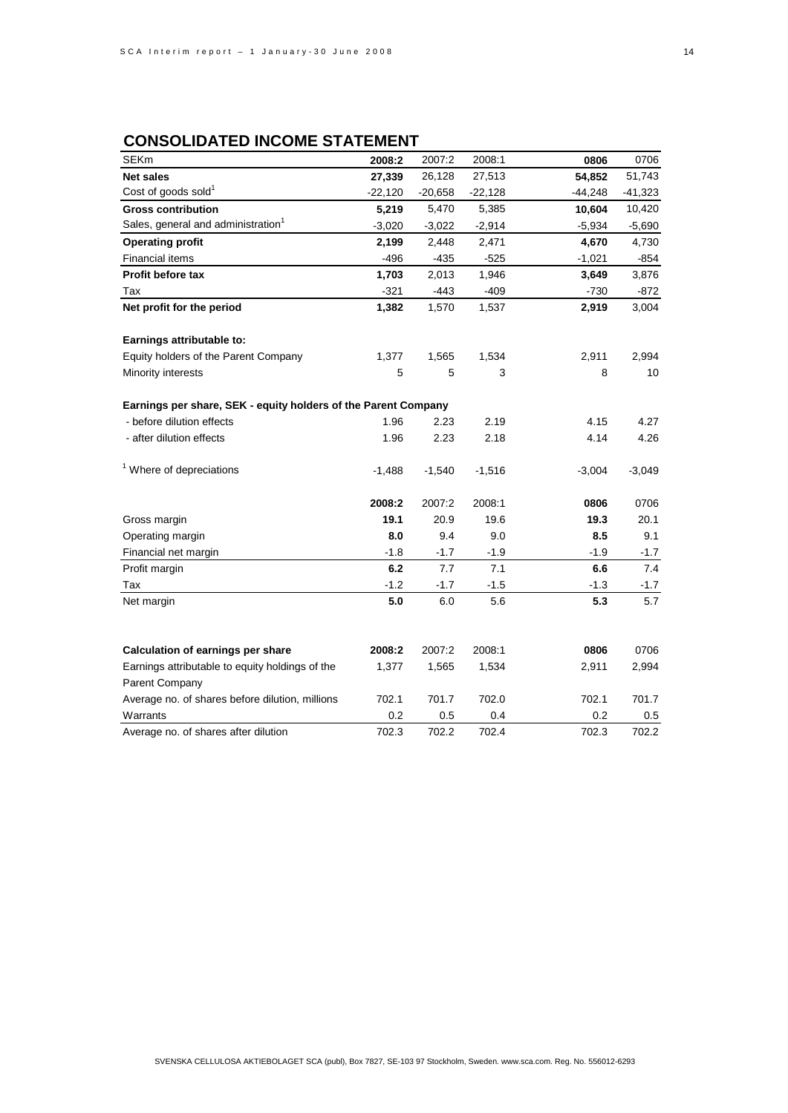### **CONSOLIDATED INCOME STATEMENT**

| <b>SEKm</b>                                                    | 2008:2    | 2007:2    | 2008:1    | 0806      | 0706      |
|----------------------------------------------------------------|-----------|-----------|-----------|-----------|-----------|
| <b>Net sales</b>                                               | 27,339    | 26,128    | 27,513    | 54,852    | 51,743    |
| Cost of goods sold <sup>1</sup>                                | $-22,120$ | $-20,658$ | $-22,128$ | $-44,248$ | $-41,323$ |
| <b>Gross contribution</b>                                      | 5,219     | 5,470     | 5,385     | 10,604    | 10,420    |
| Sales, general and administration <sup>1</sup>                 | $-3,020$  | $-3,022$  | $-2,914$  | $-5,934$  | $-5,690$  |
| <b>Operating profit</b>                                        | 2,199     | 2,448     | 2,471     | 4,670     | 4,730     |
| <b>Financial items</b>                                         | $-496$    | $-435$    | $-525$    | $-1,021$  | -854      |
| Profit before tax                                              | 1,703     | 2,013     | 1,946     | 3,649     | 3,876     |
| Tax                                                            | $-321$    | -443      | $-409$    | $-730$    | $-872$    |
| Net profit for the period                                      | 1,382     | 1,570     | 1,537     | 2,919     | 3,004     |
| Earnings attributable to:                                      |           |           |           |           |           |
| Equity holders of the Parent Company                           | 1,377     | 1,565     | 1,534     | 2,911     | 2,994     |
| Minority interests                                             | 5         | 5         | 3         | 8         | 10        |
| Earnings per share, SEK - equity holders of the Parent Company |           |           |           |           |           |
| - before dilution effects                                      | 1.96      | 2.23      | 2.19      | 4.15      | 4.27      |
| - after dilution effects                                       | 1.96      | 2.23      | 2.18      | 4.14      | 4.26      |
| <sup>1</sup> Where of depreciations                            | $-1,488$  | $-1,540$  | $-1,516$  | $-3,004$  | $-3,049$  |
|                                                                | 2008:2    | 2007:2    | 2008:1    | 0806      | 0706      |
| Gross margin                                                   | 19.1      | 20.9      | 19.6      | 19.3      | 20.1      |
| Operating margin                                               | 8.0       | 9.4       | 9.0       | 8.5       | 9.1       |
| Financial net margin                                           | $-1.8$    | $-1.7$    | $-1.9$    | $-1.9$    | $-1.7$    |
| Profit margin                                                  | 6.2       | 7.7       | 7.1       | 6.6       | 7.4       |
| Tax                                                            | $-1.2$    | $-1.7$    | $-1.5$    | $-1.3$    | $-1.7$    |
| Net margin                                                     | 5.0       | 6.0       | 5.6       | 5.3       | 5.7       |
|                                                                |           |           |           |           |           |
| <b>Calculation of earnings per share</b>                       | 2008:2    | 2007:2    | 2008:1    | 0806      | 0706      |
| Earnings attributable to equity holdings of the                | 1,377     | 1,565     | 1,534     | 2,911     | 2,994     |
| Parent Company                                                 |           |           |           |           |           |
| Average no. of shares before dilution, millions                | 702.1     | 701.7     | 702.0     | 702.1     | 701.7     |
| Warrants                                                       | 0.2       | 0.5       | 0.4       | 0.2       | 0.5       |
| Average no. of shares after dilution                           | 702.3     | 702.2     | 702.4     | 702.3     | 702.2     |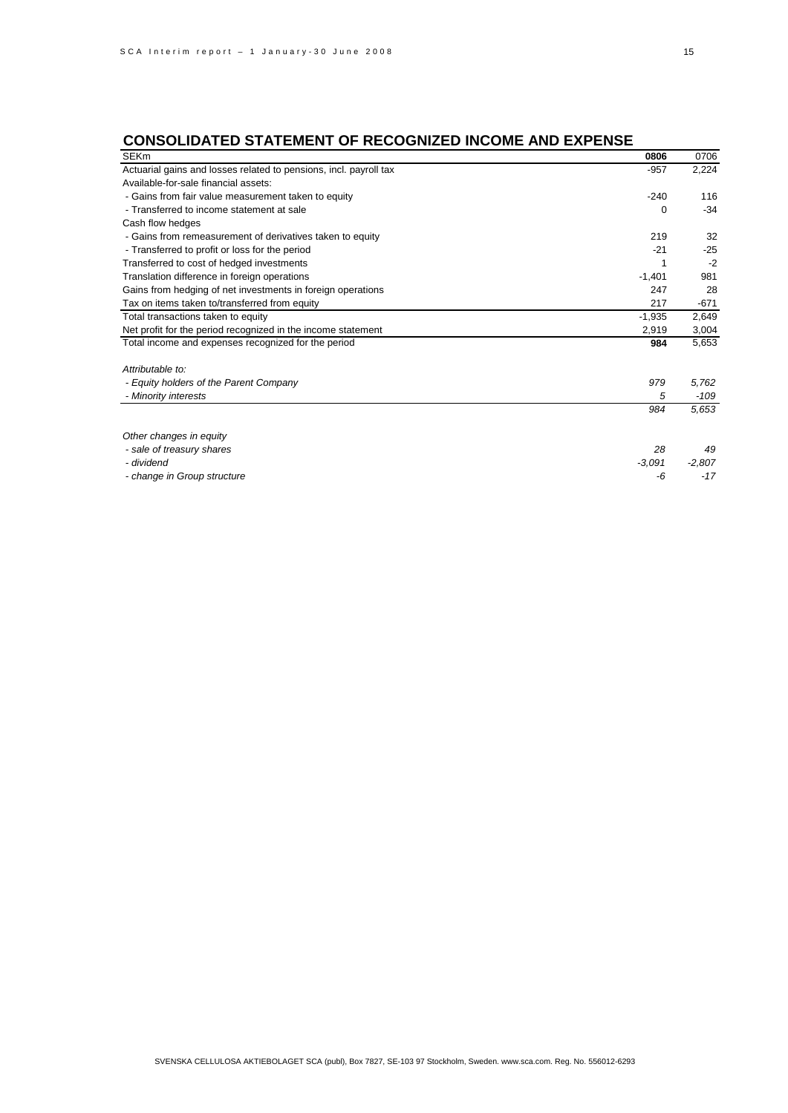### **CONSOLIDATED STATEMENT OF RECOGNIZED INCOME AND EXPENSE**

| <b>SEKm</b>                                                       | 0806     | 0706     |
|-------------------------------------------------------------------|----------|----------|
| Actuarial gains and losses related to pensions, incl. payroll tax | $-957$   | 2,224    |
| Available-for-sale financial assets:                              |          |          |
| - Gains from fair value measurement taken to equity               | $-240$   | 116      |
| - Transferred to income statement at sale                         | 0        | $-34$    |
| Cash flow hedges                                                  |          |          |
| - Gains from remeasurement of derivatives taken to equity         | 219      | 32       |
| - Transferred to profit or loss for the period                    | $-21$    | $-25$    |
| Transferred to cost of hedged investments                         |          | $-2$     |
| Translation difference in foreign operations                      | $-1,401$ | 981      |
| Gains from hedging of net investments in foreign operations       | 247      | 28       |
| Tax on items taken to/transferred from equity                     | 217      | $-671$   |
| Total transactions taken to equity                                | $-1,935$ | 2,649    |
| Net profit for the period recognized in the income statement      | 2,919    | 3,004    |
| Total income and expenses recognized for the period               | 984      | 5,653    |
| Attributable to:                                                  |          |          |
| - Equity holders of the Parent Company                            | 979      | 5,762    |
| - Minority interests                                              | 5        | -109     |
|                                                                   | 984      | 5,653    |
| Other changes in equity                                           |          |          |
| - sale of treasury shares                                         | 28       | 49       |
| - dividend                                                        | $-3,091$ | $-2,807$ |
| - change in Group structure                                       | -6       | $-17$    |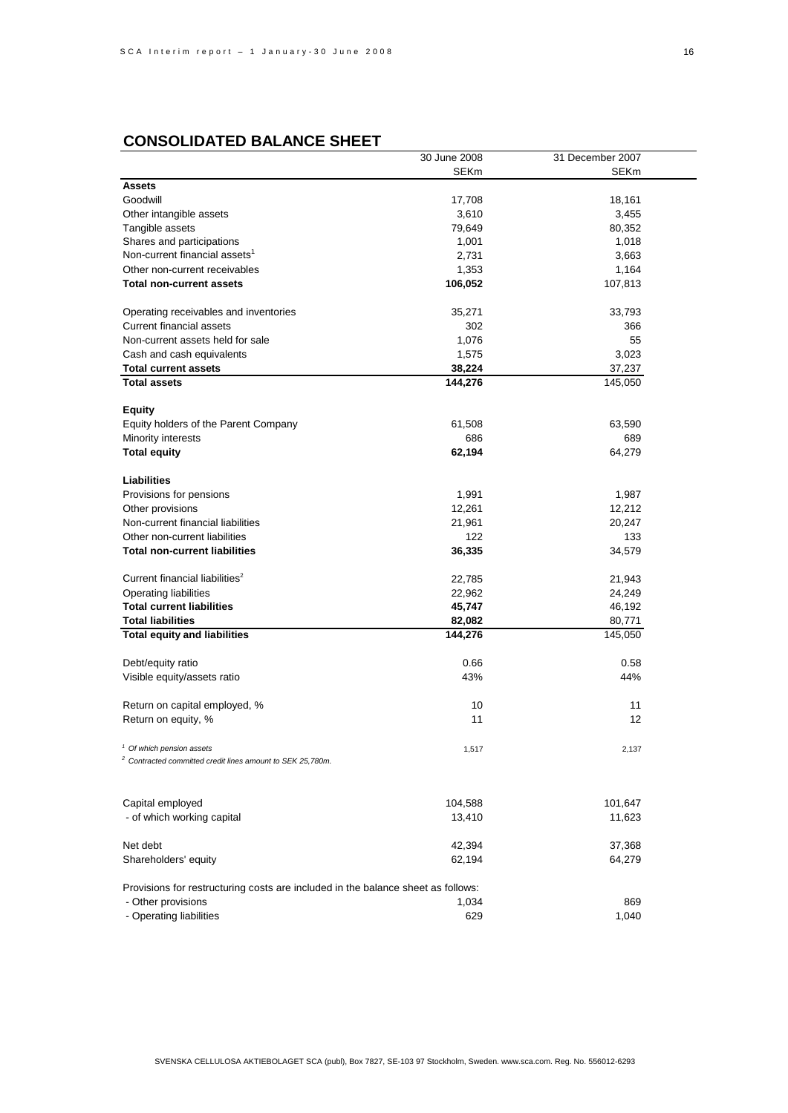|                                                                                                               | 30 June 2008 | 31 December 2007 |
|---------------------------------------------------------------------------------------------------------------|--------------|------------------|
|                                                                                                               | SEKm         | SEKm             |
| <b>Assets</b>                                                                                                 |              |                  |
| Goodwill                                                                                                      | 17,708       | 18,161           |
| Other intangible assets                                                                                       | 3,610        | 3,455            |
| Tangible assets                                                                                               | 79,649       | 80,352           |
| Shares and participations                                                                                     | 1,001        | 1,018            |
| Non-current financial assets <sup>1</sup>                                                                     | 2,731        | 3,663            |
| Other non-current receivables                                                                                 | 1,353        | 1,164            |
| <b>Total non-current assets</b>                                                                               | 106,052      | 107,813          |
|                                                                                                               |              |                  |
| Operating receivables and inventories                                                                         | 35,271       | 33,793           |
| <b>Current financial assets</b>                                                                               | 302          | 366              |
| Non-current assets held for sale                                                                              | 1,076        | 55               |
| Cash and cash equivalents                                                                                     | 1,575        | 3,023            |
| <b>Total current assets</b>                                                                                   | 38,224       | 37,237           |
| <b>Total assets</b>                                                                                           | 144,276      |                  |
|                                                                                                               |              | 145,050          |
|                                                                                                               |              |                  |
| <b>Equity</b>                                                                                                 |              |                  |
| Equity holders of the Parent Company                                                                          | 61,508       | 63,590           |
| Minority interests                                                                                            | 686          | 689              |
| <b>Total equity</b>                                                                                           | 62,194       | 64,279           |
|                                                                                                               |              |                  |
| Liabilities                                                                                                   |              |                  |
| Provisions for pensions                                                                                       | 1,991        | 1,987            |
| Other provisions                                                                                              | 12,261       | 12,212           |
| Non-current financial liabilities                                                                             | 21,961       | 20,247           |
| Other non-current liabilities                                                                                 | 122          | 133              |
| <b>Total non-current liabilities</b>                                                                          | 36,335       | 34,579           |
|                                                                                                               |              |                  |
| Current financial liabilities <sup>2</sup>                                                                    | 22,785       | 21,943           |
| Operating liabilities                                                                                         | 22,962       | 24,249           |
| <b>Total current liabilities</b>                                                                              | 45,747       | 46,192           |
| <b>Total liabilities</b>                                                                                      | 82,082       | 80,771           |
| <b>Total equity and liabilities</b>                                                                           | 144,276      | 145,050          |
|                                                                                                               |              |                  |
| Debt/equity ratio                                                                                             | 0.66         | 0.58             |
| Visible equity/assets ratio                                                                                   | 43%          | 44%              |
|                                                                                                               |              |                  |
| Return on capital employed, %                                                                                 | 10           | 11               |
| Return on equity, %                                                                                           | 11           | 12               |
|                                                                                                               |              |                  |
|                                                                                                               |              |                  |
| <sup>1</sup> Of which pension assets<br><sup>2</sup> Contracted committed credit lines amount to SEK 25,780m. | 1,517        | 2,137            |
|                                                                                                               |              |                  |
|                                                                                                               |              |                  |
|                                                                                                               |              |                  |
| Capital employed                                                                                              | 104,588      | 101,647          |
| - of which working capital                                                                                    | 13,410       | 11,623           |
|                                                                                                               |              |                  |
| Net debt                                                                                                      | 42,394       | 37,368           |
| Shareholders' equity                                                                                          | 62,194       | 64,279           |
|                                                                                                               |              |                  |
| Provisions for restructuring costs are included in the balance sheet as follows:                              |              |                  |
| - Other provisions                                                                                            | 1,034        | 869              |
| - Operating liabilities                                                                                       | 629          | 1,040            |
|                                                                                                               |              |                  |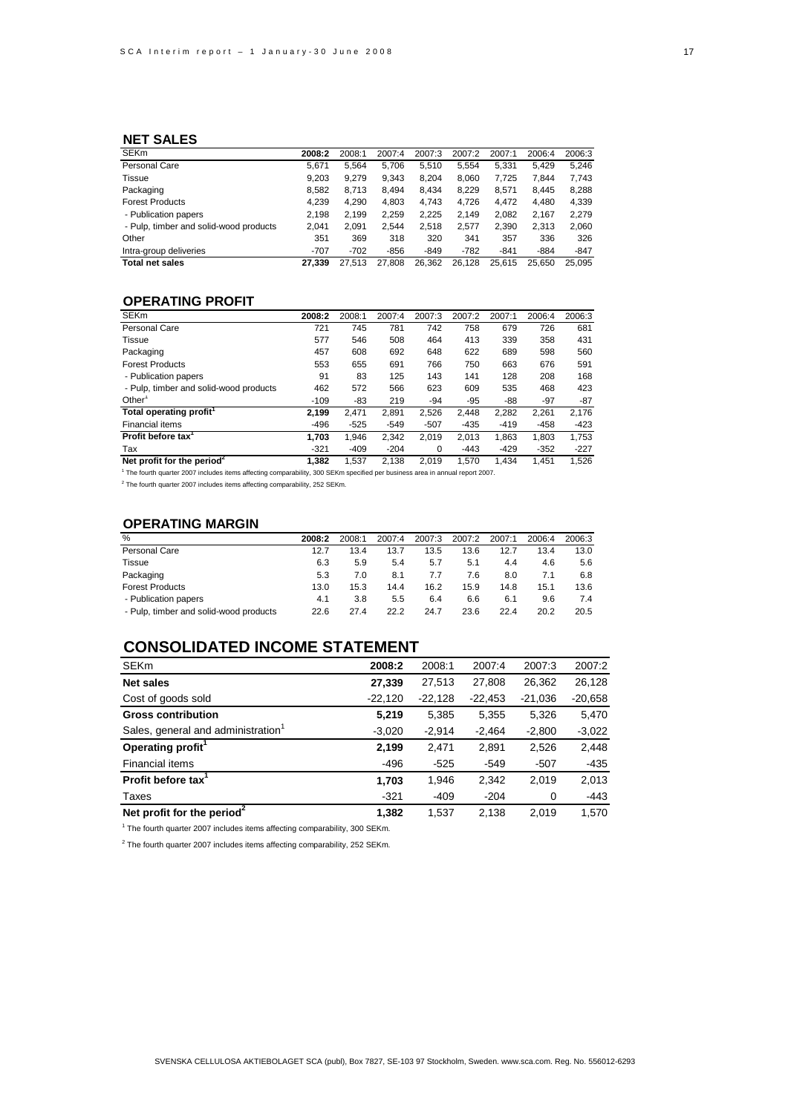#### **NET SALES**

| <b>SEKm</b>                            | 2008:2 | 2008:1 | 2007:4 | 2007:3 | 2007:2 | 2007:1 | 2006:4 | 2006:3 |
|----------------------------------------|--------|--------|--------|--------|--------|--------|--------|--------|
| Personal Care                          | 5.671  | 5.564  | 5.706  | 5.510  | 5.554  | 5.331  | 5.429  | 5,246  |
| Tissue                                 | 9.203  | 9.279  | 9.343  | 8.204  | 8.060  | 7.725  | 7.844  | 7.743  |
| Packaging                              | 8.582  | 8.713  | 8.494  | 8.434  | 8.229  | 8.571  | 8.445  | 8,288  |
| <b>Forest Products</b>                 | 4,239  | 4,290  | 4,803  | 4.743  | 4.726  | 4.472  | 4.480  | 4,339  |
| - Publication papers                   | 2.198  | 2.199  | 2.259  | 2.225  | 2.149  | 2.082  | 2.167  | 2.279  |
| - Pulp, timber and solid-wood products | 2.041  | 2.091  | 2.544  | 2.518  | 2.577  | 2,390  | 2,313  | 2,060  |
| Other                                  | 351    | 369    | 318    | 320    | 341    | 357    | 336    | 326    |
| Intra-group deliveries                 | $-707$ | $-702$ | $-856$ | $-849$ | $-782$ | $-841$ | $-884$ | $-847$ |
| <b>Total net sales</b>                 | 27.339 | 27.513 | 27.808 | 26.362 | 26.128 | 25.615 | 25.650 | 25.095 |

### **OPERATING PROFIT**

| <b>SEKm</b>                            | 2008:2 | 2008:1 | 2007:4 | 2007:3 | 2007:2 | 2007:1 | 2006:4 | 2006:3 |
|----------------------------------------|--------|--------|--------|--------|--------|--------|--------|--------|
| Personal Care                          | 721    | 745    | 781    | 742    | 758    | 679    | 726    | 681    |
| Tissue                                 | 577    | 546    | 508    | 464    | 413    | 339    | 358    | 431    |
| Packaging                              | 457    | 608    | 692    | 648    | 622    | 689    | 598    | 560    |
| <b>Forest Products</b>                 | 553    | 655    | 691    | 766    | 750    | 663    | 676    | 591    |
| - Publication papers                   | 91     | 83     | 125    | 143    | 141    | 128    | 208    | 168    |
| - Pulp, timber and solid-wood products | 462    | 572    | 566    | 623    | 609    | 535    | 468    | 423    |
| Other <sup>1</sup>                     | $-109$ | -83    | 219    | -94    | $-95$  | -88    | $-97$  | $-87$  |
| Total operating profit <sup>1</sup>    | 2.199  | 2.471  | 2.891  | 2.526  | 2.448  | 2.282  | 2.261  | 2,176  |
| <b>Financial items</b>                 | $-496$ | $-525$ | $-549$ | $-507$ | $-435$ | $-419$ | $-458$ | $-423$ |
| Profit before tax <sup>1</sup>         | 1,703  | 1.946  | 2.342  | 2.019  | 2.013  | 1,863  | 1.803  | 1,753  |
| Tax                                    | $-321$ | $-409$ | $-204$ | 0      | $-443$ | $-429$ | $-352$ | $-227$ |
| Net profit for the period <sup>2</sup> | 1.382  | 1,537  | 2.138  | 2.019  | 1.570  | 1.434  | 1.451  | 1,526  |
|                                        |        |        |        |        |        |        |        |        |

1 The fourth quarter 2007 includes items affecting comparability, 300 SEKm specified per business area in annual report 2007.

 $2$  The fourth quarter 2007 includes items affecting comparability, 252 SEKm.

#### **OPERATING MARGIN**

| %                                      | 2008:2 | 2008:1 | 2007:4 | 2007:3 | 2007:2 | 2007:1 | 2006:4 | 2006:3 |
|----------------------------------------|--------|--------|--------|--------|--------|--------|--------|--------|
| Personal Care                          | 12.7   | 13.4   | 13.7   | 13.5   | 13.6   | 12.7   | 13.4   | 13.0   |
| Tissue                                 | 6.3    | 5.9    | 5.4    | 5.7    | 5.1    | 4.4    | 4.6    | 5.6    |
| Packaging                              | 5.3    | 7.0    | 8.1    | 7.7    | 7.6    | 8.0    | 7.1    | 6.8    |
| <b>Forest Products</b>                 | 13.0   | 15.3   | 14.4   | 16.2   | 15.9   | 14.8   | 15.1   | 13.6   |
| - Publication papers                   | 4.1    | 3.8    | 5.5    | 6.4    | 6.6    | 6.1    | 9.6    | 7.4    |
| - Pulp, timber and solid-wood products | 22.6   | 27.4   | 22.2   | 24.7   | 23.6   | 22.4   | 20.2   | 20.5   |

### **CONSOLIDATED INCOME STATEMENT**

| <b>SEKm</b>                            | 2008:2    | 2008:1    | 2007:4    | 2007:3    | 2007:2    |
|----------------------------------------|-----------|-----------|-----------|-----------|-----------|
| <b>Net sales</b>                       | 27,339    | 27,513    | 27,808    | 26,362    | 26,128    |
| Cost of goods sold                     | $-22,120$ | $-22,128$ | $-22,453$ | $-21,036$ | $-20,658$ |
| <b>Gross contribution</b>              | 5,219     | 5,385     | 5,355     | 5,326     | 5,470     |
| Sales, general and administration      | $-3,020$  | $-2,914$  | $-2,464$  | $-2,800$  | $-3,022$  |
| Operating profit <sup>1</sup>          | 2,199     | 2.471     | 2.891     | 2,526     | 2,448     |
| <b>Financial items</b>                 | -496      | $-525$    | $-549$    | $-507$    | $-435$    |
| Profit before tax <sup>1</sup>         | 1,703     | 1.946     | 2,342     | 2,019     | 2,013     |
| Taxes                                  | $-321$    | $-409$    | $-204$    | 0         | $-443$    |
| Net profit for the period <sup>2</sup> | 1,382     | 1,537     | 2,138     | 2,019     | 1,570     |

<sup>1</sup> The fourth quarter 2007 includes items affecting comparability, 300 SEKm.

 $2$  The fourth quarter 2007 includes items affecting comparability, 252 SEKm.